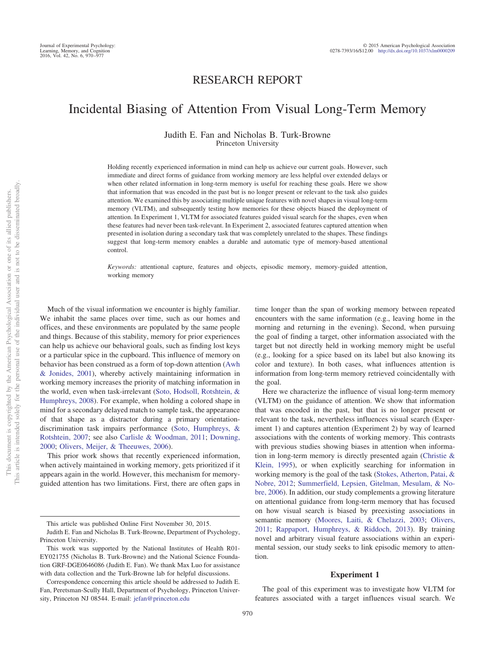# RESEARCH REPORT

# Incidental Biasing of Attention From Visual Long-Term Memory

Judith E. Fan and Nicholas B. Turk-Browne Princeton University

Holding recently experienced information in mind can help us achieve our current goals. However, such immediate and direct forms of guidance from working memory are less helpful over extended delays or when other related information in long-term memory is useful for reaching these goals. Here we show that information that was encoded in the past but is no longer present or relevant to the task also guides attention. We examined this by associating multiple unique features with novel shapes in visual long-term memory (VLTM), and subsequently testing how memories for these objects biased the deployment of attention. In Experiment 1, VLTM for associated features guided visual search for the shapes, even when these features had never been task-relevant. In Experiment 2, associated features captured attention when presented in isolation during a secondary task that was completely unrelated to the shapes. These findings suggest that long-term memory enables a durable and automatic type of memory-based attentional control.

*Keywords:* attentional capture, features and objects, episodic memory, memory-guided attention, working memory

Much of the visual information we encounter is highly familiar. We inhabit the same places over time, such as our homes and offices, and these environments are populated by the same people and things. Because of this stability, memory for prior experiences can help us achieve our behavioral goals, such as finding lost keys or a particular spice in the cupboard. This influence of memory on behavior has been construed as a form of top-down attention [\(Awh](#page-6-0) [& Jonides, 2001\)](#page-6-0), whereby actively maintaining information in working memory increases the priority of matching information in the world, even when task-irrelevant [\(Soto, Hodsoll, Rotshtein, &](#page-7-0) [Humphreys, 2008\)](#page-7-0). For example, when holding a colored shape in mind for a secondary delayed match to sample task, the appearance of that shape as a distractor during a primary orientationdiscrimination task impairs performance [\(Soto, Humphreys, &](#page-7-1) [Rotshtein, 2007;](#page-7-1) see also [Carlisle & Woodman, 2011;](#page-7-2) [Downing,](#page-7-3) [2000;](#page-7-3) [Olivers, Meijer, & Theeuwes, 2006\)](#page-7-4).

This prior work shows that recently experienced information, when actively maintained in working memory, gets prioritized if it appears again in the world. However, this mechanism for memoryguided attention has two limitations. First, there are often gaps in

time longer than the span of working memory between repeated encounters with the same information (e.g., leaving home in the morning and returning in the evening). Second, when pursuing the goal of finding a target, other information associated with the target but not directly held in working memory might be useful (e.g., looking for a spice based on its label but also knowing its color and texture). In both cases, what influences attention is information from long-term memory retrieved coincidentally with the goal.

Here we characterize the influence of visual long-term memory (VLTM) on the guidance of attention. We show that information that was encoded in the past, but that is no longer present or relevant to the task, nevertheless influences visual search (Experiment 1) and captures attention (Experiment 2) by way of learned associations with the contents of working memory. This contrasts with previous studies showing biases in attention when information in long-term memory is directly presented again [\(Christie &](#page-7-5) [Klein, 1995\)](#page-7-5), or when explicitly searching for information in working memory is the goal of the task [\(Stokes, Atherton, Patai, &](#page-7-6) [Nobre, 2012;](#page-7-6) [Summerfield, Lepsien, Gitelman, Mesulam, & No](#page-7-7)[bre, 2006\)](#page-7-7). In addition, our study complements a growing literature on attentional guidance from long-term memory that has focused on how visual search is biased by preexisting associations in semantic memory [\(Moores, Laiti, & Chelazzi, 2003;](#page-7-8) [Olivers,](#page-7-9) [2011;](#page-7-9) [Rappaport, Humphreys, & Riddoch, 2013\)](#page-7-10). By training novel and arbitrary visual feature associations within an experimental session, our study seeks to link episodic memory to attention.

#### **Experiment 1**

The goal of this experiment was to investigate how VLTM for features associated with a target influences visual search. We

This article was published Online First November 30, 2015.

Judith E. Fan and Nicholas B. Turk-Browne, Department of Psychology, Princeton University.

This work was supported by the National Institutes of Health R01- EY021755 (Nicholas B. Turk-Browne) and the National Science Foundation GRF-DGE0646086 (Judith E. Fan). We thank Max Luo for assistance with data collection and the Turk-Browne lab for helpful discussions.

Correspondence concerning this article should be addressed to Judith E. Fan, Peretsman-Scully Hall, Department of Psychology, Princeton University, Princeton NJ 08544. E-mail: [jefan@princeton.edu](mailto:jefan@princeton.edu)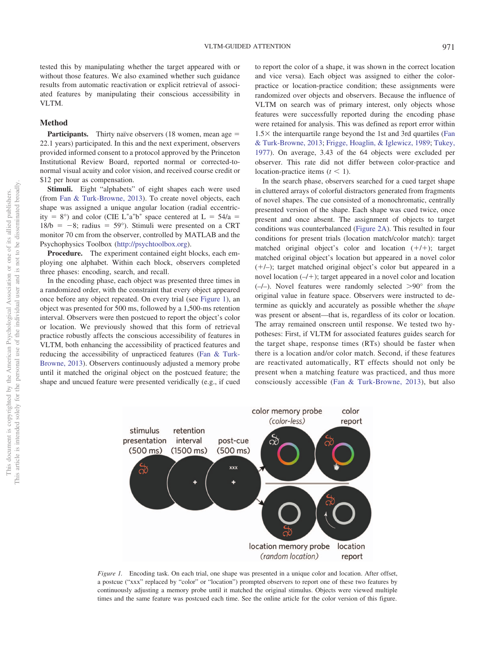tested this by manipulating whether the target appeared with or without those features. We also examined whether such guidance results from automatic reactivation or explicit retrieval of associated features by manipulating their conscious accessibility in VLTM.

# **Method**

**Participants.** Thirty naïve observers (18 women, mean age = 22.1 years) participated. In this and the next experiment, observers provided informed consent to a protocol approved by the Princeton Institutional Review Board, reported normal or corrected-tonormal visual acuity and color vision, and received course credit or \$12 per hour as compensation.

**Stimuli.** Eight "alphabets" of eight shapes each were used (from [Fan & Turk-Browne, 2013\)](#page-7-11). To create novel objects, each shape was assigned a unique angular location (radial eccentricity = 8°) and color (CIE L\*a\*b\* space centered at L =  $54/a$  =  $18/b = -8$ ; radius = 59°). Stimuli were presented on a CRT monitor 70 cm from the observer, controlled by MATLAB and the Psychophysics Toolbox [\(http://psychtoolbox.org\)](http://psychtoolbox.org).

**Procedure.** The experiment contained eight blocks, each employing one alphabet. Within each block, observers completed three phases: encoding, search, and recall.

In the encoding phase, each object was presented three times in a randomized order, with the constraint that every object appeared once before any object repeated. On every trial (see [Figure 1\)](#page-1-0), an object was presented for 500 ms, followed by a 1,500-ms retention interval. Observers were then postcued to report the object's color or location. We previously showed that this form of retrieval practice robustly affects the conscious accessibility of features in VLTM, both enhancing the accessibility of practiced features and reducing the accessibility of unpracticed features [\(Fan & Turk-](#page-7-11)[Browne, 2013\)](#page-7-11). Observers continuously adjusted a memory probe until it matched the original object on the postcued feature; the shape and uncued feature were presented veridically (e.g., if cued

to report the color of a shape, it was shown in the correct location and vice versa). Each object was assigned to either the colorpractice or location-practice condition; these assignments were randomized over objects and observers. Because the influence of VLTM on search was of primary interest, only objects whose features were successfully reported during the encoding phase were retained for analysis. This was defined as report error within  $1.5\times$  the interquartile range beyond the 1st and 3rd quartiles [\(Fan](#page-7-11) [& Turk-Browne, 2013;](#page-7-11) [Frigge, Hoaglin, & Iglewicz, 1989;](#page-7-12) [Tukey,](#page-7-13) [1977\)](#page-7-13). On average, 3.43 of the 64 objects were excluded per observer. This rate did not differ between color-practice and location-practice items  $(t < 1)$ .

In the search phase, observers searched for a cued target shape in cluttered arrays of colorful distractors generated from fragments of novel shapes. The cue consisted of a monochromatic, centrally presented version of the shape. Each shape was cued twice, once present and once absent. The assignment of objects to target conditions was counterbalanced [\(Figure 2A\)](#page-2-0). This resulted in four conditions for present trials (location match/color match): target matched original object's color and location  $(+/+)$ ; target matched original object's location but appeared in a novel color  $(+/-)$ ; target matched original object's color but appeared in a novel location  $(-/+)$ ; target appeared in a novel color and location  $(-/-)$ . Novel features were randomly selected  $>90^{\circ}$  from the original value in feature space. Observers were instructed to determine as quickly and accurately as possible whether the *shape* was present or absent—that is, regardless of its color or location. The array remained onscreen until response. We tested two hypotheses: First, if VLTM for associated features guides search for the target shape, response times (RTs) should be faster when there is a location and/or color match. Second, if these features are reactivated automatically, RT effects should not only be present when a matching feature was practiced, and thus more consciously accessible [\(Fan & Turk-Browne, 2013\)](#page-7-11), but also



<span id="page-1-0"></span>*Figure 1.* Encoding task. On each trial, one shape was presented in a unique color and location. After offset, a postcue ("xxx" replaced by "color" or "location") prompted observers to report one of these two features by continuously adjusting a memory probe until it matched the original stimulus. Objects were viewed multiple times and the same feature was postcued each time. See the online article for the color version of this figure.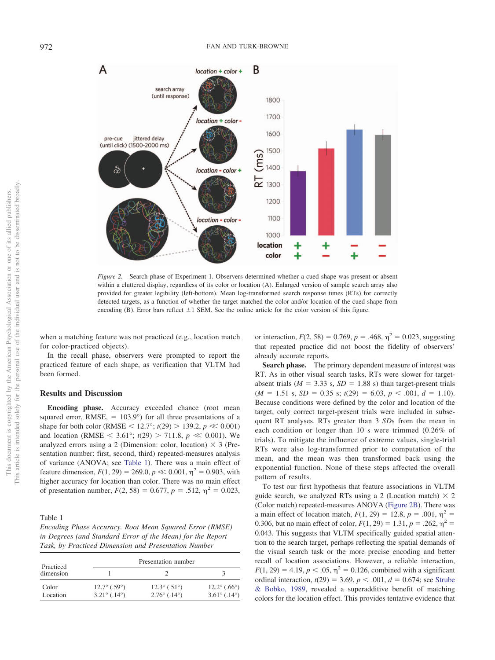

<span id="page-2-0"></span>*Figure 2.* Search phase of Experiment 1. Observers determined whether a cued shape was present or absent within a cluttered display, regardless of its color or location (A). Enlarged version of sample search array also provided for greater legibility (left-bottom). Mean log-transformed search response times (RTs) for correctly detected targets, as a function of whether the target matched the color and/or location of the cued shape from encoding (B). Error bars reflect  $\pm 1$  SEM. See the online article for the color version of this figure.

when a matching feature was not practiced (e.g., location match for color-practiced objects).

In the recall phase, observers were prompted to report the practiced feature of each shape, as verification that VLTM had been formed.

# **Results and Discussion**

**Encoding phase.** Accuracy exceeded chance (root mean squared error,  $RMSE$ , = 103.9 $^{\circ}$ ) for all three presentations of a shape for both color (RMSE < 12.7°;  $t(29)$  > 139.2,  $p \ll 0.001$ ) and location (RMSE  $\leq 3.61^{\circ}$ ; *t*(29)  $> 711.8$ , *p*  $\ll 0.001$ ). We analyzed errors using a 2 (Dimension: color, location)  $\times$  3 (Presentation number: first, second, third) repeated-measures analysis of variance (ANOVA; see [Table 1\)](#page-2-1). There was a main effect of feature dimension,  $F(1, 29) = 269.0, p \ll 0.001, \eta^2 = 0.903$ , with higher accuracy for location than color. There was no main effect of presentation number,  $F(2, 58) = 0.677$ ,  $p = .512$ ,  $\eta^2 = 0.023$ ,

<span id="page-2-1"></span>Table 1

*Encoding Phase Accuracy. Root Mean Squared Error (RMSE) in Degrees (and Standard Error of the Mean) for the Report Task, by Practiced Dimension and Presentation Number*

| Practiced |                                  | Presentation number   |                                  |
|-----------|----------------------------------|-----------------------|----------------------------------|
| dimension |                                  |                       |                                  |
| Color     | $12.7^{\circ}$ (.59 $^{\circ}$ ) | $12.3^{\circ}$ (.51°) | $12.2^{\circ}$ (.66 $^{\circ}$ ) |
| Location  | $3.21^{\circ}$ (.14°)            | $2.76^{\circ}$ (.14°) | $3.61^{\circ}$ (.14°)            |

or interaction,  $F(2, 58) = 0.769$ ,  $p = .468$ ,  $\eta^2 = 0.023$ , suggesting that repeated practice did not boost the fidelity of observers' already accurate reports.

**Search phase.** The primary dependent measure of interest was RT. As in other visual search tasks, RTs were slower for targetabsent trials ( $M = 3.33$  s,  $SD = 1.88$  s) than target-present trials  $(M = 1.51 \text{ s}, SD = 0.35 \text{ s}; t(29) = 6.03, p < .001, d = 1.10).$ Because conditions were defined by the color and location of the target, only correct target-present trials were included in subsequent RT analyses. RTs greater than 3 *SD*s from the mean in each condition or longer than 10 s were trimmed (0.26% of trials). To mitigate the influence of extreme values, single-trial RTs were also log-transformed prior to computation of the mean, and the mean was then transformed back using the exponential function. None of these steps affected the overall pattern of results.

To test our first hypothesis that feature associations in VLTM guide search, we analyzed RTs using a 2 (Location match)  $\times$  2 (Color match) repeated-measures ANOVA [\(Figure 2B\)](#page-2-0). There was a main effect of location match,  $F(1, 29) = 12.8$ ,  $p = .001$ ,  $\eta^2 =$ 0.306, but no main effect of color,  $F(1, 29) = 1.31$ ,  $p = .262$ ,  $\eta^2 =$ 0.043. This suggests that VLTM specifically guided spatial attention to the search target, perhaps reflecting the spatial demands of the visual search task or the more precise encoding and better recall of location associations. However, a reliable interaction,  $F(1, 29) = 4.19, p < .05, \eta^2 = 0.126$ , combined with a significant ordinal interaction,  $t(29) = 3.69$ ,  $p < .001$ ,  $d = 0.674$ ; see [Strube](#page-7-14) [& Bobko, 1989,](#page-7-14) revealed a superadditive benefit of matching colors for the location effect. This provides tentative evidence that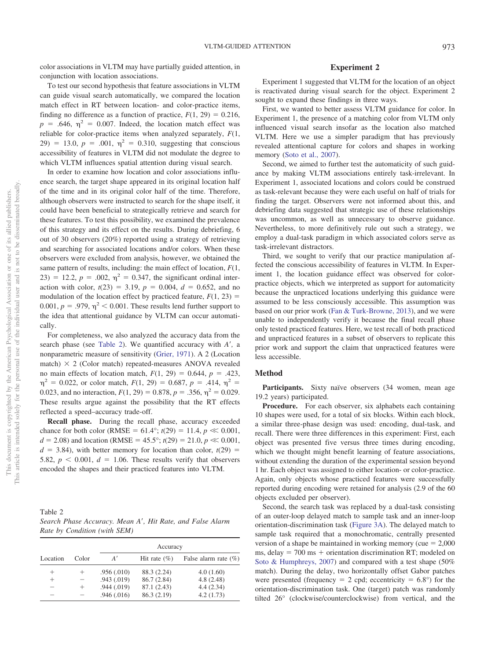color associations in VLTM may have partially guided attention, in conjunction with location associations.

To test our second hypothesis that feature associations in VLTM can guide visual search automatically, we compared the location match effect in RT between location- and color-practice items, finding no difference as a function of practice,  $F(1, 29) = 0.216$ ,  $p = .646$ ,  $\eta^2 = 0.007$ . Indeed, the location match effect was reliable for color-practice items when analyzed separately, *F*(1,  $(29) = 13.0, p = .001, \eta^2 = 0.310,$  suggesting that conscious accessibility of features in VLTM did not modulate the degree to which VLTM influences spatial attention during visual search.

In order to examine how location and color associations influence search, the target shape appeared in its original location half of the time and in its original color half of the time. Therefore, although observers were instructed to search for the shape itself, it could have been beneficial to strategically retrieve and search for these features. To test this possibility, we examined the prevalence of this strategy and its effect on the results. During debriefing, 6 out of 30 observers (20%) reported using a strategy of retrieving and searching for associated locations and/or colors. When these observers were excluded from analysis, however, we obtained the same pattern of results, including: the main effect of location, *F*(1, 23) = 12.2,  $p = .002$ ,  $\eta^2 = 0.347$ , the significant ordinal interaction with color,  $t(23) = 3.19$ ,  $p = 0.004$ ,  $d = 0.652$ , and no modulation of the location effect by practiced feature,  $F(1, 23) =$  $0.001$ ,  $p = .979$ ,  $\eta^2 < 0.001$ . These results lend further support to the idea that attentional guidance by VLTM can occur automatically.

For completeness, we also analyzed the accuracy data from the search phase (see [Table 2\)](#page-3-0). We quantified accuracy with *A'*, a nonparametric measure of sensitivity [\(Grier, 1971\)](#page-7-15). A 2 (Location match)  $\times$  2 (Color match) repeated-measures ANOVA revealed no main effects of location match,  $F(1, 29) = 0.644$ ,  $p = .423$ ,  $\eta^2 = 0.022$ , or color match,  $F(1, 29) = 0.687$ ,  $p = .414$ ,  $\eta^2 =$ 0.023, and no interaction,  $F(1, 29) = 0.878$ ,  $p = .356$ ,  $\eta^2 = 0.029$ . These results argue against the possibility that the RT effects reflected a speed–accuracy trade-off.

**Recall phase.** During the recall phase, accuracy exceeded chance for both color (RMSE =  $61.4^{\circ}$ ; *t*(29) = 11.4, *p*  $\ll 0.001$ ,  $d = 2.08$ ) and location (RMSE = 45.5°;  $t(29) = 21.0, p \ll 0.001$ ,  $d = 3.84$ ), with better memory for location than color,  $t(29) =$ 5.82,  $p < 0.001$ ,  $d = 1.06$ . These results verify that observers encoded the shapes and their practiced features into VLTM.

<span id="page-3-0"></span>Table 2

| Search Phase Accuracy. Mean A', Hit Rate, and False Alarm |  |  |  |
|-----------------------------------------------------------|--|--|--|
| Rate by Condition (with SEM)                              |  |  |  |

|          |       | Accuracy   |                  |                          |  |
|----------|-------|------------|------------------|--------------------------|--|
| Location | Color | A'         | Hit rate $(\% )$ | False alarm rate $(\% )$ |  |
| $^+$     |       | .956(.010) | 88.3 (2.24)      | 4.0(1.60)                |  |
| $^+$     |       | .943(.019) | 86.7(2.84)       | 4.8(2.48)                |  |
| -        | $\pm$ | .944(.019) | 87.1 (2.43)      | 4.4(2.34)                |  |
|          |       | .946(.016) | 86.3 (2.19)      | 4.2(1.73)                |  |

# **Experiment 2**

Experiment 1 suggested that VLTM for the location of an object is reactivated during visual search for the object. Experiment 2 sought to expand these findings in three ways.

First, we wanted to better assess VLTM guidance for color. In Experiment 1, the presence of a matching color from VLTM only influenced visual search insofar as the location also matched VLTM. Here we use a simpler paradigm that has previously revealed attentional capture for colors and shapes in working memory [\(Soto et al., 2007\)](#page-7-1).

Second, we aimed to further test the automaticity of such guidance by making VLTM associations entirely task-irrelevant. In Experiment 1, associated locations and colors could be construed as task-relevant because they were each useful on half of trials for finding the target. Observers were not informed about this, and debriefing data suggested that strategic use of these relationships was uncommon, as well as unnecessary to observe guidance. Nevertheless, to more definitively rule out such a strategy, we employ a dual-task paradigm in which associated colors serve as task-irrelevant distractors.

Third, we sought to verify that our practice manipulation affected the conscious accessibility of features in VLTM. In Experiment 1, the location guidance effect was observed for colorpractice objects, which we interpreted as support for automaticity because the unpracticed locations underlying this guidance were assumed to be less consciously accessible. This assumption was based on our prior work [\(Fan & Turk-Browne, 2013\)](#page-7-11), and we were unable to independently verify it because the final recall phase only tested practiced features. Here, we test recall of both practiced and unpracticed features in a subset of observers to replicate this prior work and support the claim that unpracticed features were less accessible.

### **Method**

Participants. Sixty naïve observers (34 women, mean age 19.2 years) participated.

**Procedure.** For each observer, six alphabets each containing 10 shapes were used, for a total of six blocks. Within each block, a similar three-phase design was used: encoding, dual-task, and recall. There were three differences in this experiment: First, each object was presented five versus three times during encoding, which we thought might benefit learning of feature associations, without extending the duration of the experimental session beyond 1 hr. Each object was assigned to either location- or color-practice. Again, only objects whose practiced features were successfully reported during encoding were retained for analysis (2.9 of the 60 objects excluded per observer).

Second, the search task was replaced by a dual-task consisting of an outer-loop delayed match to sample task and an inner-loop orientation-discrimination task [\(Figure 3A\)](#page-4-0). The delayed match to sample task required that a monochromatic, centrally presented version of a shape be maintained in working memory (cue  $= 2,000$  $ms, delay = 700 ms + orientation discrimination RT; modeled on$ [Soto & Humphreys, 2007\)](#page-7-16) and compared with a test shape (50% match). During the delay, two horizontally offset Gabor patches were presented (frequency  $= 2$  cpd; eccentricity  $= 6.8^{\circ}$ ) for the orientation-discrimination task. One (target) patch was randomly tilted 26° (clockwise/counterclockwise) from vertical, and the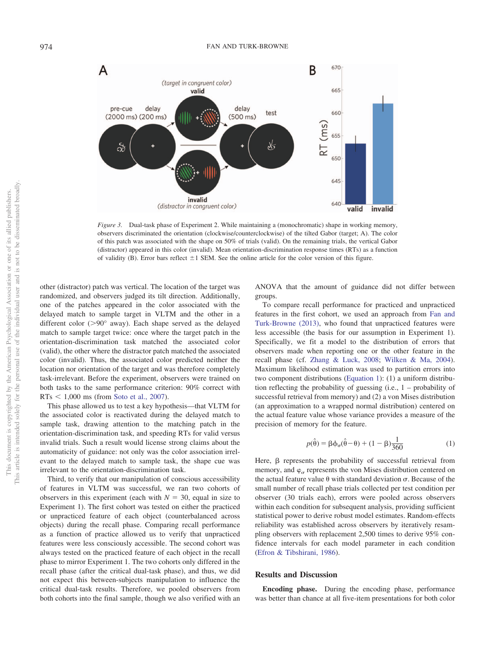

<span id="page-4-0"></span>*Figure 3.* Dual-task phase of Experiment 2. While maintaining a (monochromatic) shape in working memory, observers discriminated the orientation (clockwise/counterclockwise) of the tilted Gabor (target; A). The color of this patch was associated with the shape on 50% of trials (valid). On the remaining trials, the vertical Gabor (distractor) appeared in this color (invalid). Mean orientation-discrimination response times (RTs) as a function of validity (B). Error bars reflect  $\pm 1$  SEM. See the online article for the color version of this figure.

other (distractor) patch was vertical. The location of the target was randomized, and observers judged its tilt direction. Additionally, one of the patches appeared in the color associated with the delayed match to sample target in VLTM and the other in a different color ( $>90^\circ$  away). Each shape served as the delayed match to sample target twice: once where the target patch in the orientation-discrimination task matched the associated color (valid), the other where the distractor patch matched the associated color (invalid). Thus, the associated color predicted neither the location nor orientation of the target and was therefore completely task-irrelevant. Before the experiment, observers were trained on both tasks to the same performance criterion: 90% correct with  $RTs < 1,000$  ms (from [Soto et al., 2007\)](#page-7-16).

This phase allowed us to test a key hypothesis—that VLTM for the associated color is reactivated during the delayed match to sample task, drawing attention to the matching patch in the orientation-discrimination task, and speeding RTs for valid versus invalid trials. Such a result would license strong claims about the automaticity of guidance: not only was the color association irrelevant to the delayed match to sample task, the shape cue was irrelevant to the orientation-discrimination task.

Third, to verify that our manipulation of conscious accessibility of features in VLTM was successful, we ran two cohorts of observers in this experiment (each with  $N = 30$ , equal in size to Experiment 1). The first cohort was tested on either the practiced or unpracticed feature of each object (counterbalanced across objects) during the recall phase. Comparing recall performance as a function of practice allowed us to verify that unpracticed features were less consciously accessible. The second cohort was always tested on the practiced feature of each object in the recall phase to mirror Experiment 1. The two cohorts only differed in the recall phase (after the critical dual-task phase), and thus, we did not expect this between-subjects manipulation to influence the critical dual-task results. Therefore, we pooled observers from both cohorts into the final sample, though we also verified with an

ANOVA that the amount of guidance did not differ between groups.

To compare recall performance for practiced and unpracticed features in the first cohort, we used an approach from [Fan and](#page-7-11) [Turk-Browne \(2013\),](#page-7-11) who found that unpracticed features were less accessible (the basis for our assumption in Experiment 1). Specifically, we fit a model to the distribution of errors that observers made when reporting one or the other feature in the recall phase (cf. [Zhang & Luck, 2008;](#page-7-17) [Wilken & Ma, 2004\)](#page-7-18). Maximum likelihood estimation was used to partition errors into two component distributions [\(Equation 1\)](#page-4-1): (1) a uniform distribution reflecting the probability of guessing (i.e., 1 – probability of successful retrieval from memory) and (2) a von Mises distribution (an approximation to a wrapped normal distribution) centered on the actual feature value whose variance provides a measure of the precision of memory for the feature.

$$
p(\hat{\theta}) = \beta \phi_{\sigma}(\hat{\theta} - \theta) + (1 - \beta) \frac{1}{360}
$$
 (1)

<span id="page-4-1"></span>Here,  $\beta$  represents the probability of successful retrieval from memory, and  $\varphi_{\sigma}$  represents the von Mises distribution centered on the actual feature value  $\theta$  with standard deviation  $\sigma$ . Because of the small number of recall phase trials collected per test condition per observer (30 trials each), errors were pooled across observers within each condition for subsequent analysis, providing sufficient statistical power to derive robust model estimates. Random-effects reliability was established across observers by iteratively resampling observers with replacement 2,500 times to derive 95% confidence intervals for each model parameter in each condition [\(Efron & Tibshirani, 1986\)](#page-7-19).

## **Results and Discussion**

**Encoding phase.** During the encoding phase, performance was better than chance at all five-item presentations for both color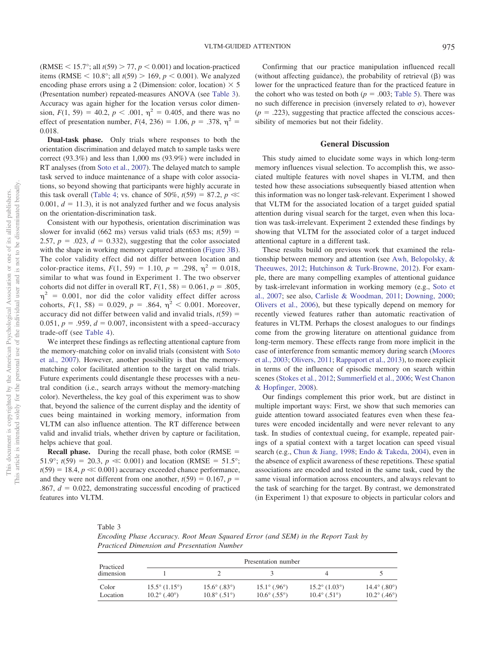(RMSE  $\leq 15.7^{\circ}$ ; all  $t(59) > 77$ ,  $p \leq 0.001$ ) and location-practiced items (RMSE  $\leq 10.8^{\circ}$ ; all *t*(59)  $> 169$ , *p*  $< 0.001$ ). We analyzed encoding phase errors using a 2 (Dimension: color, location)  $\times$  5 (Presentation number) repeated-measures ANOVA (see [Table 3\)](#page-5-0). Accuracy was again higher for the location versus color dimension,  $F(1, 59) = 40.2$ ,  $p < .001$ ,  $\eta^2 = 0.405$ , and there was no effect of presentation number,  $F(4, 236) = 1.06$ ,  $p = .378$ ,  $\eta^2 =$ 0.018.

**Dual-task phase.** Only trials where responses to both the orientation discrimination and delayed match to sample tasks were correct (93.3%) and less than 1,000 ms (93.9%) were included in RT analyses (from [Soto et al., 2007\)](#page-7-16). The delayed match to sample task served to induce maintenance of a shape with color associations, so beyond showing that participants were highly accurate in this task overall [\(Table 4;](#page-6-1) vs. chance of 50%,  $t(59) = 87.2$ ,  $p \ll$  $0.001, d = 11.3$ , it is not analyzed further and we focus analysis on the orientation-discrimination task.

Consistent with our hypothesis, orientation discrimination was slower for invalid (662 ms) versus valid trials (653 ms;  $t(59)$  = 2.57,  $p = .023$ ,  $d = 0.332$ ), suggesting that the color associated with the shape in working memory captured attention [\(Figure 3B\)](#page-4-0). The color validity effect did not differ between location and color-practice items,  $F(1, 59) = 1.10$ ,  $p = .298$ ,  $\eta^2 = 0.018$ , similar to what was found in Experiment 1. The two observer cohorts did not differ in overall RT,  $F(1, 58) = 0.061$ ,  $p = .805$ ,  $\eta^2$  = 0.001, nor did the color validity effect differ across cohorts,  $F(1, 58) = 0.029$ ,  $p = .864$ ,  $\eta^2 < 0.001$ . Moreover, accuracy did not differ between valid and invalid trials,  $t(59)$  =  $0.051, p = .959, d = 0.007$ , inconsistent with a speed–accuracy trade-off (see [Table 4\)](#page-6-1).

We interpret these findings as reflecting attentional capture from the memory-matching color on invalid trials (consistent with [Soto](#page-7-1) [et al., 2007\)](#page-7-1). However, another possibility is that the memorymatching color facilitated attention to the target on valid trials. Future experiments could disentangle these processes with a neutral condition (i.e., search arrays without the memory-matching color). Nevertheless, the key goal of this experiment was to show that, beyond the salience of the current display and the identity of cues being maintained in working memory, information from VLTM can also influence attention. The RT difference between valid and invalid trials, whether driven by capture or facilitation, helps achieve that goal.

**Recall phase.** During the recall phase, both color (RMSE = 51.9°;  $t(59) = 20.3$ ,  $p \ll 0.001$ ) and location (RMSE = 51.5°;  $t(59) = 18.4, p \ll 0.001$ ) accuracy exceeded chance performance, and they were not different from one another,  $t(59) = 0.167$ ,  $p =$  $.867, d = 0.022$ , demonstrating successful encoding of practiced features into VLTM.

Confirming that our practice manipulation influenced recall (without affecting guidance), the probability of retrieval  $(\beta)$  was lower for the unpracticed feature than for the practiced feature in the cohort who was tested on both  $(p = .003;$  [Table 5\)](#page-6-2). There was no such difference in precision (inversely related to  $\sigma$ ), however  $(p = .223)$ , suggesting that practice affected the conscious accessibility of memories but not their fidelity.

#### **General Discussion**

This study aimed to elucidate some ways in which long-term memory influences visual selection. To accomplish this, we associated multiple features with novel shapes in VLTM, and then tested how these associations subsequently biased attention when this information was no longer task-relevant. Experiment 1 showed that VLTM for the associated location of a target guided spatial attention during visual search for the target, even when this location was task-irrelevant. Experiment 2 extended these findings by showing that VLTM for the associated color of a target induced attentional capture in a different task.

These results build on previous work that examined the relationship between memory and attention (see [Awh, Belopolsky, &](#page-6-3) [Theeuwes, 2012;](#page-6-3) [Hutchinson & Turk-Browne, 2012\)](#page-7-20). For example, there are many compelling examples of attentional guidance by task-irrelevant information in working memory (e.g., [Soto et](#page-7-16) [al., 2007;](#page-7-16) see also, [Carlisle & Woodman, 2011;](#page-7-2) [Downing, 2000;](#page-7-3) [Olivers et al., 2006\)](#page-7-4), but these typically depend on memory for recently viewed features rather than automatic reactivation of features in VLTM. Perhaps the closest analogues to our findings come from the growing literature on attentional guidance from long-term memory. These effects range from more implicit in the case of interference from semantic memory during search [\(Moores](#page-7-8) [et al., 2003;](#page-7-8) [Olivers, 2011;](#page-7-9) [Rappaport et al., 2013\)](#page-7-10), to more explicit in terms of the influence of episodic memory on search within scenes [\(Stokes et al., 2012;](#page-7-6) [Summerfield et al., 2006;](#page-7-7) [West Chanon](#page-7-21) [& Hopfinger, 2008\)](#page-7-21).

Our findings complement this prior work, but are distinct in multiple important ways: First, we show that such memories can guide attention toward associated features even when these features were encoded incidentally and were never relevant to any task. In studies of contextual cueing, for example, repeated pairings of a spatial context with a target location can speed visual search (e.g., [Chun & Jiang, 1998;](#page-7-22) [Endo & Takeda, 2004\)](#page-7-23), even in the absence of explicit awareness of these repetitions. These spatial associations are encoded and tested in the same task, cued by the same visual information across encounters, and always relevant to the task of searching for the target. By contrast, we demonstrated (in Experiment 1) that exposure to objects in particular colors and

<span id="page-5-0"></span>Table 3

*Encoding Phase Accuracy. Root Mean Squared Error (and SEM) in the Report Task by Practiced Dimension and Presentation Number*

| Practiced         | Presentation number                             |                                                           |                                                           |                                                            |                                                           |  |
|-------------------|-------------------------------------------------|-----------------------------------------------------------|-----------------------------------------------------------|------------------------------------------------------------|-----------------------------------------------------------|--|
| dimension         |                                                 |                                                           |                                                           |                                                            |                                                           |  |
| Color<br>Location | $15.5^{\circ}$ (1.15°)<br>$10.2^{\circ}$ (.40°) | $15.6^{\circ}$ (.83 $^{\circ}$ )<br>$10.8^{\circ}$ (.51°) | $15.1^{\circ}$ (.96°)<br>$10.6^{\circ}$ (.55 $^{\circ}$ ) | $15.2^{\circ}$ (1.03 $^{\circ}$ )<br>$10.4^{\circ}$ (.51°) | $14.4^{\circ}$ (.80 $^{\circ}$ )<br>$10.2^{\circ}$ (.46°) |  |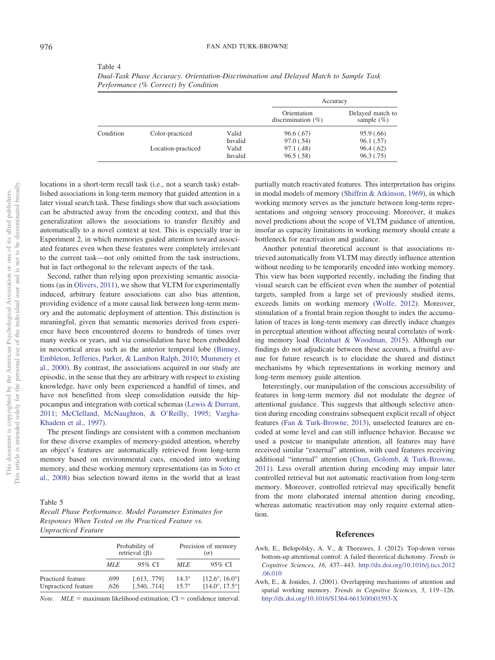| ×<br>٧ |  |  |
|--------|--|--|
|        |  |  |

<span id="page-6-1"></span>Table 4

|           |                    |         | Accuracy                             |                                    |
|-----------|--------------------|---------|--------------------------------------|------------------------------------|
|           |                    |         | Orientation<br>discrimination $(\%)$ | Delayed match to<br>sample $(\% )$ |
| Condition | Color-practiced    | Valid   | 96.6(.67)                            | 95.9(.66)                          |
|           |                    | Invalid | 97.0(.54)                            | 96.1(.57)                          |
|           | Location-practiced | Valid   | 97.1 (.48)                           | 96.4(.62)                          |
|           |                    | Invalid | 96.5(.58)                            | 96.3(0.75)                         |

*Dual-Task Phase Accuracy. Orientation-Discrimination and Delayed Match to Sample Task Performance (% Correct) by Condition*

locations in a short-term recall task (i.e., not a search task) established associations in long-term memory that guided attention in a later visual search task. These findings show that such associations can be abstracted away from the encoding context, and that this generalization allows the associations to transfer flexibly and automatically to a novel context at test. This is especially true in Experiment 2, in which memories guided attention toward associated features even when these features were completely irrelevant to the current task—not only omitted from the task instructions, but in fact orthogonal to the relevant aspects of the task.

Second, rather than relying upon preexisting semantic associations (as in [Olivers, 2011\)](#page-7-9), we show that VLTM for experimentally induced, arbitrary feature associations can also bias attention, providing evidence of a more causal link between long-term memory and the automatic deployment of attention. This distinction is meaningful, given that semantic memories derived from experience have been encountered dozens to hundreds of times over many weeks or years, and via consolidation have been embedded in neocortical areas such as the anterior temporal lobe [\(Binney,](#page-7-24) [Embleton, Jefferies, Parker, & Lambon Ralph, 2010;](#page-7-24) [Mummery et](#page-7-25) [al., 2000\)](#page-7-25). By contrast, the associations acquired in our study are episodic, in the sense that they are arbitrary with respect to existing knowledge, have only been experienced a handful of times, and have not benefitted from sleep consolidation outside the hippocampus and integration with cortical schemas [\(Lewis & Durrant,](#page-7-26) [2011;](#page-7-26) [McClelland, McNaughton, & O'Reilly, 1995;](#page-7-27) [Vargha-](#page-7-28)[Khadem et al., 1997\)](#page-7-28).

The present findings are consistent with a common mechanism for these diverse examples of memory-guided attention, whereby an object's features are automatically retrieved from long-term memory based on environmental cues, encoded into working memory, and these working memory representations (as in [Soto et](#page-7-0) [al., 2008\)](#page-7-0) bias selection toward items in the world that at least

<span id="page-6-2"></span>Table 5

*Recall Phase Performance. Model Parameter Estimates for Responses When Tested on the Practiced Feature vs. Unpracticed Feature*

|                                          | Probability of<br>retrieval $(\beta)$ |                              | Precision of memory<br>$(\sigma)$ |                                                                  |
|------------------------------------------|---------------------------------------|------------------------------|-----------------------------------|------------------------------------------------------------------|
|                                          | MLE                                   | 95% CI                       | MLE                               | 95% CI                                                           |
| Practiced feature<br>Unpracticed feature | .699<br>.626                          | [.613, .779]<br>[.540, .714] | $14.3^\circ$<br>$15.7^\circ$      | $[12.6^{\circ}, 16.0^{\circ}]$<br>$[14.0^{\circ}, 17.5^{\circ}]$ |

*Note.*  $MLE =$  maximum likelihood estimation;  $CI =$  confidence interval.

partially match reactivated features. This interpretation has origins in modal models of memory [\(Shiffrin & Atkinson, 1969\)](#page-7-29), in which working memory serves as the juncture between long-term representations and ongoing sensory processing. Moreover, it makes novel predictions about the scope of VLTM guidance of attention, insofar as capacity limitations in working memory should create a bottleneck for reactivation and guidance.

Another potential theoretical account is that associations retrieved automatically from VLTM may directly influence attention without needing to be temporarily encoded into working memory. This view has been supported recently, including the finding that visual search can be efficient even when the number of potential targets, sampled from a large set of previously studied items, exceeds limits on working memory [\(Wolfe, 2012\)](#page-7-30). Moreover, stimulation of a frontal brain region thought to index the accumulation of traces in long-term memory can directly induce changes in perceptual attention without affecting neural correlates of working memory load [\(Reinhart & Woodman, 2015\)](#page-7-31). Although our findings do not adjudicate between these accounts, a fruitful avenue for future research is to elucidate the shared and distinct mechanisms by which representations in working memory and long-term memory guide attention.

Interestingly, our manipulation of the conscious accessibility of features in long-term memory did not modulate the degree of attentional guidance. This suggests that although selective attention during encoding constrains subsequent explicit recall of object features [\(Fan & Turk-Browne, 2013\)](#page-7-11), unselected features are encoded at some level and can still influence behavior. Because we used a postcue to manipulate attention, all features may have received similar "external" attention, with cued features receiving additional "internal" attention [\(Chun, Golomb, & Turk-Browne,](#page-7-32) [2011\)](#page-7-32). Less overall attention during encoding may impair later controlled retrieval but not automatic reactivation from long-term memory. Moreover, controlled retrieval may specifically benefit from the more elaborated internal attention during encoding, whereas automatic reactivation may only require external attention.

#### **References**

- <span id="page-6-3"></span>Awh, E., Belopolsky, A. V., & Theeuwes, J. (2012). Top-down versus bottom-up attentional control: A failed theoretical dichotomy. *Trends in Cognitive Sciences, 16,* 437– 443. [http://dx.doi.org/10.1016/j.tics.2012](http://dx.doi.org/10.1016/j.tics.2012.06.010) [.06.010](http://dx.doi.org/10.1016/j.tics.2012.06.010)
- <span id="page-6-0"></span>Awh, E., & Jonides, J. (2001). Overlapping mechanisms of attention and spatial working memory. *Trends in Cognitive Sciences, 5,* 119 –126. [http://dx.doi.org/10.1016/S1364-6613\(00\)01593-X](http://dx.doi.org/10.1016/S1364-6613%2800%2901593-X)